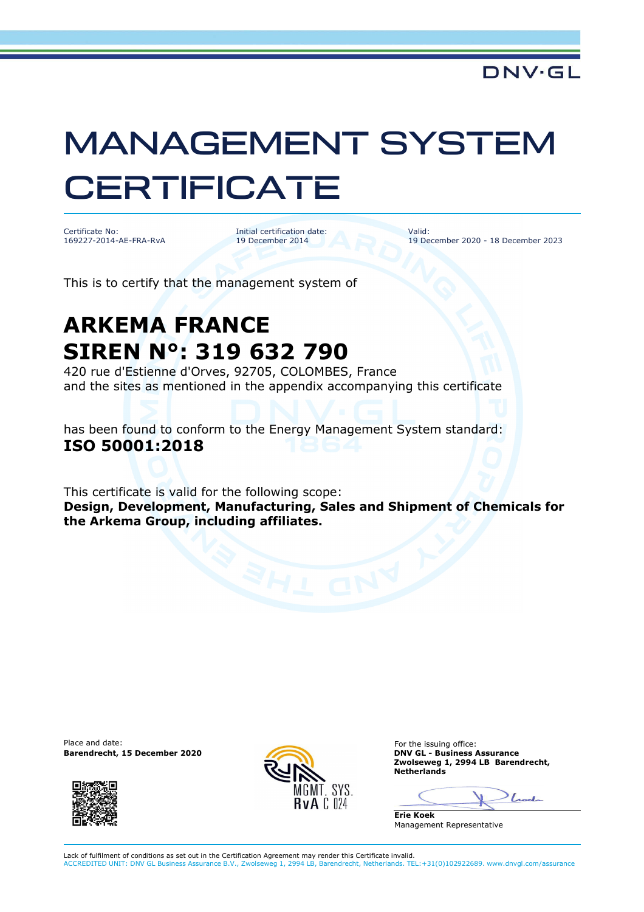## MANAGEMENT SYSTEM **CERTIFICATE**

Certificate No: 169227-2014-AE-FRA-RvA

Initial certification date: 19 December 2014

Valid: 19 December 2020 - 18 December 2023

This is to certify that the management system of

## **ARKEMA FRANCE SIREN N°: 319 632 790**

420 rue d'Estienne d'Orves, 92705, COLOMBES, France and the sites as mentioned in the appendix accompanying this certificate

has been found to conform to the Energy Management System standard: **ISO 50001:2018**

This certificate is valid for the following scope: **Design, Development, Manufacturing, Sales and Shipment of Chemicals for the Arkema Group, including affiliates.** 

Place and date: **Barendrecht, 15 December 2020** 





For the issuing office:<br>DNV GL - Business Assurance **Zwolseweg 1, 2994 LB Barendrecht, Netherlands** 

Look

**Erie Koek** Management Representative

Lack of fulfilment of conditions as set out in the Certification Agreement may render this Certificate invalid. ACCREDITED UNIT: DNV GL Business Assurance B.V., Zwolseweg 1, 2994 LB, Barendrecht, Netherlands. TEL:+31(0)102922689. www.dnvgl.com/assurance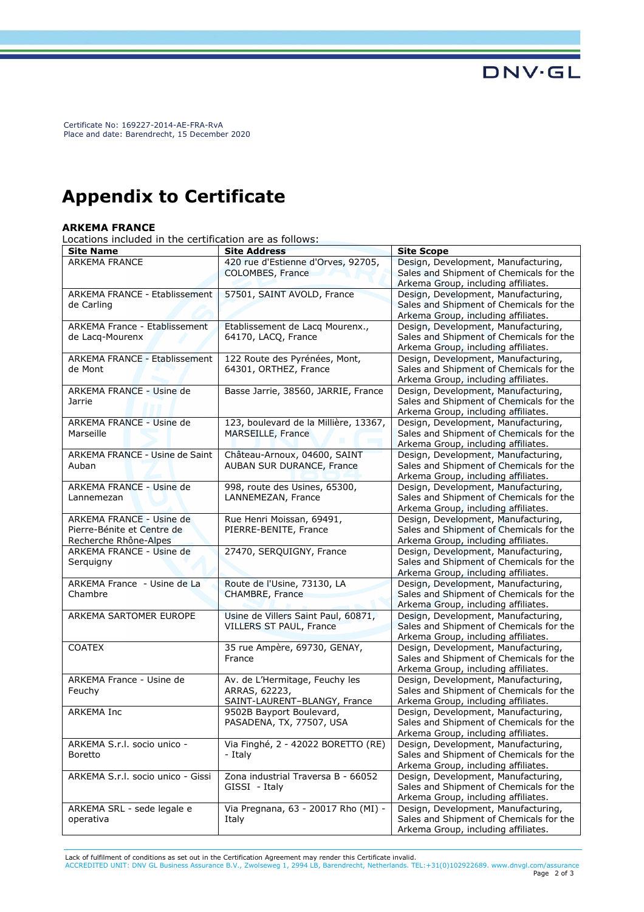Certificate No: 169227-2014-AE-FRA-RvA Place and date: Barendrecht, 15 December 2020

## **Appendix to Certificate**

## **ARKEMA FRANCE**

Locations included in the certification are as follows:

| <b>Site Name</b>                     | <b>Site Address</b>                                  | <b>Site Scope</b>                                                              |
|--------------------------------------|------------------------------------------------------|--------------------------------------------------------------------------------|
| <b>ARKEMA FRANCE</b>                 | 420 rue d'Estienne d'Orves, 92705,                   | Design, Development, Manufacturing,                                            |
|                                      | COLOMBES, France                                     | Sales and Shipment of Chemicals for the                                        |
|                                      |                                                      | Arkema Group, including affiliates.                                            |
| <b>ARKEMA FRANCE - Etablissement</b> | 57501, SAINT AVOLD, France                           | Design, Development, Manufacturing,                                            |
| de Carling                           |                                                      | Sales and Shipment of Chemicals for the                                        |
|                                      |                                                      | Arkema Group, including affiliates.                                            |
| ARKEMA France - Etablissement        | Etablissement de Lacq Mourenx.,                      | Design, Development, Manufacturing,                                            |
| de Lacq-Mourenx                      | 64170, LACQ, France                                  | Sales and Shipment of Chemicals for the                                        |
|                                      |                                                      | Arkema Group, including affiliates.                                            |
| <b>ARKEMA FRANCE - Etablissement</b> | 122 Route des Pyrénées, Mont,                        | Design, Development, Manufacturing,                                            |
| de Mont                              | 64301, ORTHEZ, France                                | Sales and Shipment of Chemicals for the                                        |
|                                      |                                                      | Arkema Group, including affiliates.                                            |
| ARKEMA FRANCE - Usine de             | Basse Jarrie, 38560, JARRIE, France                  | Design, Development, Manufacturing,                                            |
| Jarrie                               |                                                      | Sales and Shipment of Chemicals for the                                        |
|                                      |                                                      | Arkema Group, including affiliates.                                            |
| ARKEMA FRANCE - Usine de             | 123, boulevard de la Millière, 13367,                | Design, Development, Manufacturing,                                            |
| Marseille                            | MARSEILLE, France                                    | Sales and Shipment of Chemicals for the                                        |
|                                      |                                                      | Arkema Group, including affiliates.                                            |
| ARKEMA FRANCE - Usine de Saint       | Château-Arnoux, 04600, SAINT                         | Design, Development, Manufacturing,                                            |
| Auban                                | AUBAN SUR DURANCE, France                            | Sales and Shipment of Chemicals for the                                        |
|                                      |                                                      | Arkema Group, including affiliates.                                            |
| <b>ARKEMA FRANCE - Usine de</b>      | 998, route des Usines, 65300,                        | Design, Development, Manufacturing,                                            |
| Lannemezan                           | LANNEMEZAN, France                                   | Sales and Shipment of Chemicals for the                                        |
|                                      |                                                      | Arkema Group, including affiliates.                                            |
| ARKEMA FRANCE - Usine de             | Rue Henri Moissan, 69491,                            | Design, Development, Manufacturing,                                            |
| Pierre-Bénite et Centre de           | PIERRE-BENITE, France                                | Sales and Shipment of Chemicals for the                                        |
| Recherche Rhône-Alpes                |                                                      | Arkema Group, including affiliates.                                            |
| ARKEMA FRANCE - Usine de             | 27470, SERQUIGNY, France                             | Design, Development, Manufacturing,                                            |
| Serquigny                            |                                                      | Sales and Shipment of Chemicals for the                                        |
|                                      |                                                      | Arkema Group, including affiliates.                                            |
| ARKEMA France - Usine de La          | Route de l'Usine, 73130, LA                          | Design, Development, Manufacturing,                                            |
| Chambre                              | CHAMBRE, France                                      | Sales and Shipment of Chemicals for the                                        |
|                                      |                                                      | Arkema Group, including affiliates.                                            |
| ARKEMA SARTOMER EUROPE               | Usine de Villers Saint Paul, 60871,                  | Design, Development, Manufacturing,                                            |
|                                      | VILLERS ST PAUL, France                              | Sales and Shipment of Chemicals for the                                        |
|                                      |                                                      | Arkema Group, including affiliates.                                            |
| <b>COATEX</b>                        | 35 rue Ampère, 69730, GENAY,                         | Design, Development, Manufacturing,                                            |
|                                      | France                                               | Sales and Shipment of Chemicals for the                                        |
|                                      |                                                      | Arkema Group, including affiliates.                                            |
| ARKEMA France - Usine de             | Av. de L'Hermitage, Feuchy les                       | Design, Development, Manufacturing,<br>Sales and Shipment of Chemicals for the |
| Feuchy                               | ARRAS, 62223,<br>SAINT-LAURENT-BLANGY, France        |                                                                                |
|                                      |                                                      | Arkema Group, including affiliates.                                            |
| <b>ARKEMA Inc</b>                    | 9502B Bayport Boulevard,<br>PASADENA, TX, 77507, USA | Design, Development, Manufacturing,                                            |
|                                      |                                                      | Sales and Shipment of Chemicals for the                                        |
| ARKEMA S.r.l. socio unico -          | Via Finghé, 2 - 42022 BORETTO (RE)                   | Arkema Group, including affiliates.<br>Design, Development, Manufacturing,     |
|                                      | - Italy                                              | Sales and Shipment of Chemicals for the                                        |
| <b>Boretto</b>                       |                                                      | Arkema Group, including affiliates.                                            |
| ARKEMA S.r.l. socio unico - Gissi    | Zona industrial Traversa B - 66052                   | Design, Development, Manufacturing,                                            |
|                                      | GISSI - Italy                                        | Sales and Shipment of Chemicals for the                                        |
|                                      |                                                      | Arkema Group, including affiliates.                                            |
| ARKEMA SRL - sede legale e           | Via Pregnana, 63 - 20017 Rho (MI) -                  | Design, Development, Manufacturing,                                            |
| operativa                            | Italy                                                | Sales and Shipment of Chemicals for the                                        |
|                                      |                                                      | Arkema Group, including affiliates.                                            |

Lack of fulfilment of conditions as set out in the Certification Agreement may render this Certificate invalid.

ACCREDITED UNIT: DNV GL Business Assurance B.V., Zwolseweg 1, 2994 LB, Barendrecht, Netherlands. TEL:+31(0)102922689. www.dnvgl.com/assurance Page 2 of 3

**DNV·GL**